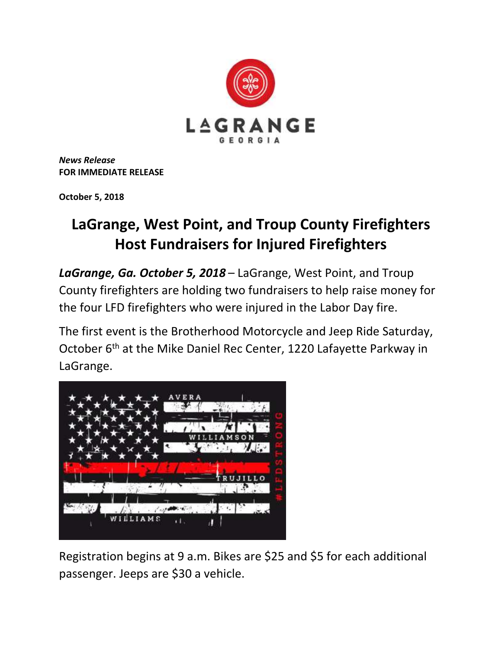

*News Release* **FOR IMMEDIATE RELEASE**

**October 5, 2018**

## **LaGrange, West Point, and Troup County Firefighters Host Fundraisers for Injured Firefighters**

*LaGrange, Ga. October 5, 2018* – LaGrange, West Point, and Troup County firefighters are holding two fundraisers to help raise money for the four LFD firefighters who were injured in the Labor Day fire.

The first event is the Brotherhood Motorcycle and Jeep Ride Saturday, October 6<sup>th</sup> at the Mike Daniel Rec Center, 1220 Lafayette Parkway in LaGrange.



Registration begins at 9 a.m. Bikes are \$25 and \$5 for each additional passenger. Jeeps are \$30 a vehicle.